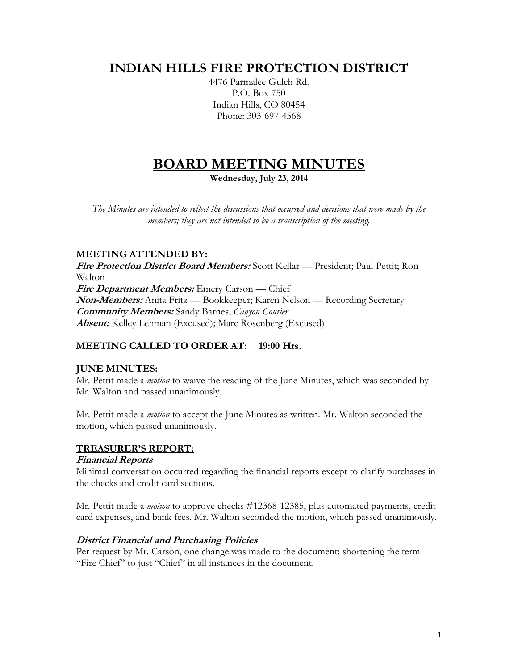# **INDIAN HILLS FIRE PROTECTION DISTRICT**

4476 Parmalee Gulch Rd. P.O. Box 750 Indian Hills, CO 80454 Phone: 303-697-4568

# **BOARD MEETING MINUTES**

**Wednesday, July 23, 2014**

*The Minutes are intended to reflect the discussions that occurred and decisions that were made by the members; they are not intended to be a transcription of the meeting.*

# **MEETING ATTENDED BY:**

**Fire Protection District Board Members:** Scott Kellar — President; Paul Pettit; Ron Walton **Fire Department Members:** Emery Carson — Chief **Non-Members:** Anita Fritz — Bookkeeper; Karen Nelson — Recording Secretary **Community Members:** Sandy Barnes, *Canyon Courier* **Absent:** Kelley Lehman (Excused); Marc Rosenberg (Excused)

# **MEETING CALLED TO ORDER AT: 19:00 Hrs.**

# **JUNE MINUTES:**

Mr. Pettit made a *motion* to waive the reading of the June Minutes, which was seconded by Mr. Walton and passed unanimously.

Mr. Pettit made a *motion* to accept the June Minutes as written. Mr. Walton seconded the motion, which passed unanimously.

# **TREASURER'S REPORT:**

# **Financial Reports**

Minimal conversation occurred regarding the financial reports except to clarify purchases in the checks and credit card sections.

Mr. Pettit made a *motion* to approve checks #12368-12385, plus automated payments, credit card expenses, and bank fees. Mr. Walton seconded the motion, which passed unanimously.

# **District Financial and Purchasing Policies**

Per request by Mr. Carson, one change was made to the document: shortening the term "Fire Chief" to just "Chief" in all instances in the document.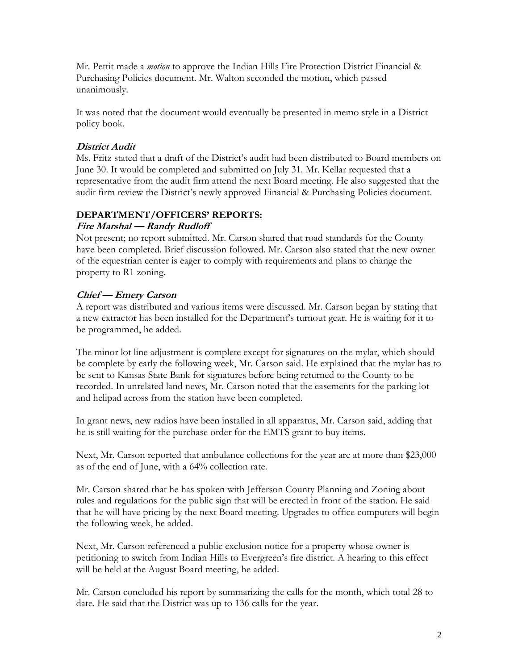Mr. Pettit made a *motion* to approve the Indian Hills Fire Protection District Financial & Purchasing Policies document. Mr. Walton seconded the motion, which passed unanimously.

It was noted that the document would eventually be presented in memo style in a District policy book.

# **District Audit**

Ms. Fritz stated that a draft of the District's audit had been distributed to Board members on June 30. It would be completed and submitted on July 31. Mr. Kellar requested that a representative from the audit firm attend the next Board meeting. He also suggested that the audit firm review the District's newly approved Financial & Purchasing Policies document.

# **DEPARTMENT/OFFICERS' REPORTS:**

# **Fire Marshal — Randy Rudloff**

Not present; no report submitted. Mr. Carson shared that road standards for the County have been completed. Brief discussion followed. Mr. Carson also stated that the new owner of the equestrian center is eager to comply with requirements and plans to change the property to R1 zoning.

# **Chief — Emery Carson**

A report was distributed and various items were discussed. Mr. Carson began by stating that a new extractor has been installed for the Department's turnout gear. He is waiting for it to be programmed, he added.

The minor lot line adjustment is complete except for signatures on the mylar, which should be complete by early the following week, Mr. Carson said. He explained that the mylar has to be sent to Kansas State Bank for signatures before being returned to the County to be recorded. In unrelated land news, Mr. Carson noted that the easements for the parking lot and helipad across from the station have been completed.

In grant news, new radios have been installed in all apparatus, Mr. Carson said, adding that he is still waiting for the purchase order for the EMTS grant to buy items.

Next, Mr. Carson reported that ambulance collections for the year are at more than \$23,000 as of the end of June, with a 64% collection rate.

Mr. Carson shared that he has spoken with Jefferson County Planning and Zoning about rules and regulations for the public sign that will be erected in front of the station. He said that he will have pricing by the next Board meeting. Upgrades to office computers will begin the following week, he added.

Next, Mr. Carson referenced a public exclusion notice for a property whose owner is petitioning to switch from Indian Hills to Evergreen's fire district. A hearing to this effect will be held at the August Board meeting, he added.

Mr. Carson concluded his report by summarizing the calls for the month, which total 28 to date. He said that the District was up to 136 calls for the year.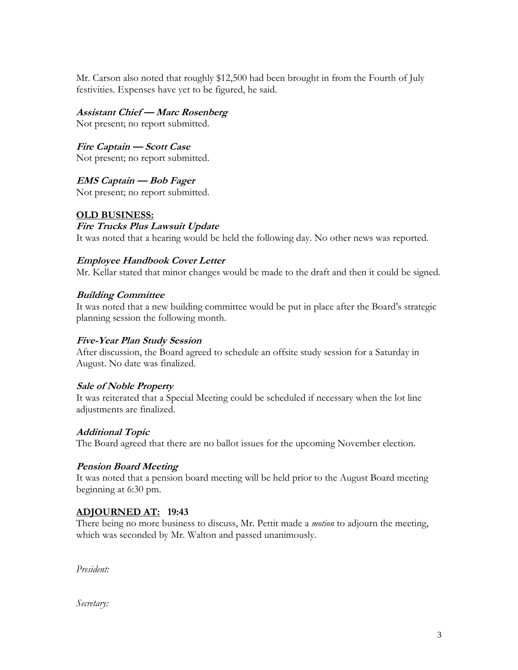Mr. Carson also noted that roughly \$12,500 had been brought in from the Fourth of July festivities. Expenses have yet to be figured, he said.

**Assistant Chief — Marc Rosenberg**

Not present; no report submitted.

**Fire Captain — Scott Case** Not present; no report submitted.

**EMS Captain — Bob Fager** Not present; no report submitted.

# **OLD BUSINESS:**

**Fire Trucks Plus Lawsuit Update** It was noted that a hearing would be held the following day. No other news was reported.

# **Employee Handbook Cover Letter**

Mr. Kellar stated that minor changes would be made to the draft and then it could be signed.

# **Building Committee**

It was noted that a new building committee would be put in place after the Board's strategic planning session the following month.

# **Five-Year Plan Study Session**

After discussion, the Board agreed to schedule an offsite study session for a Saturday in August. No date was finalized.

# **Sale of Noble Property**

It was reiterated that a Special Meeting could be scheduled if necessary when the lot line adjustments are finalized.

# **Additional Topic**

The Board agreed that there are no ballot issues for the upcoming November election.

# **Pension Board Meeting**

It was noted that a pension board meeting will be held prior to the August Board meeting beginning at 6:30 pm.

# **ADJOURNED AT: 19:43**

There being no more business to discuss, Mr. Pettit made a *motion* to adjourn the meeting, which was seconded by Mr. Walton and passed unanimously.

*President:*

*Secretary:*